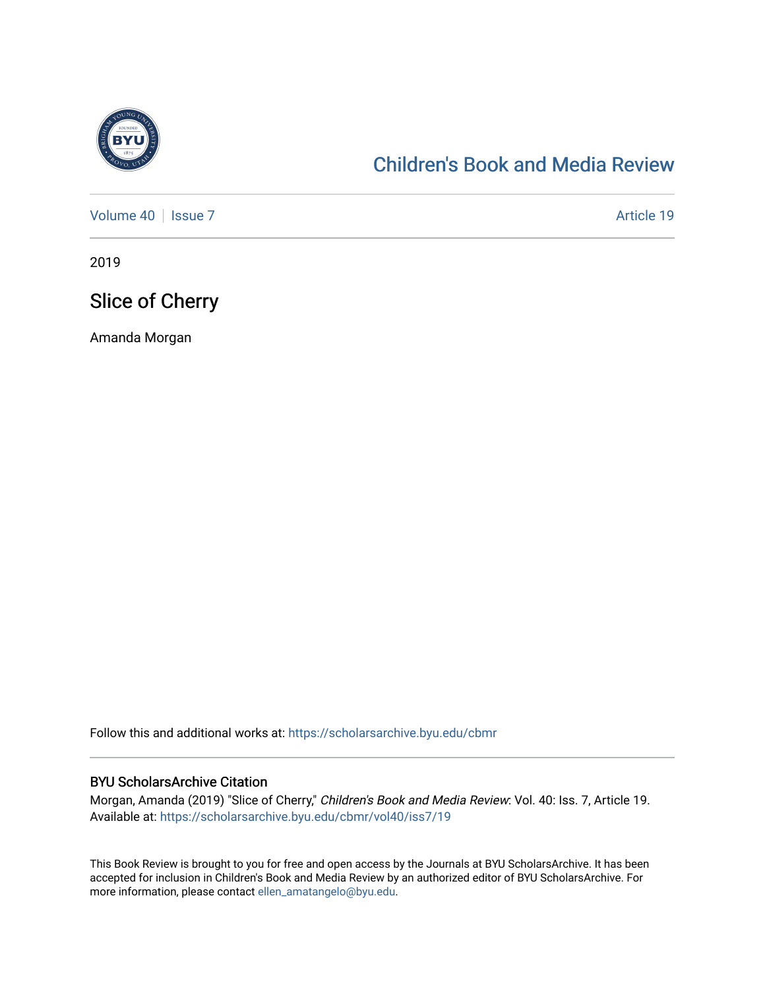

## [Children's Book and Media Review](https://scholarsarchive.byu.edu/cbmr)

[Volume 40](https://scholarsarchive.byu.edu/cbmr/vol40) | [Issue 7](https://scholarsarchive.byu.edu/cbmr/vol40/iss7) Article 19

2019

## Slice of Cherry

Amanda Morgan

Follow this and additional works at: [https://scholarsarchive.byu.edu/cbmr](https://scholarsarchive.byu.edu/cbmr?utm_source=scholarsarchive.byu.edu%2Fcbmr%2Fvol40%2Fiss7%2F19&utm_medium=PDF&utm_campaign=PDFCoverPages) 

#### BYU ScholarsArchive Citation

Morgan, Amanda (2019) "Slice of Cherry," Children's Book and Media Review: Vol. 40: Iss. 7, Article 19. Available at: [https://scholarsarchive.byu.edu/cbmr/vol40/iss7/19](https://scholarsarchive.byu.edu/cbmr/vol40/iss7/19?utm_source=scholarsarchive.byu.edu%2Fcbmr%2Fvol40%2Fiss7%2F19&utm_medium=PDF&utm_campaign=PDFCoverPages)

This Book Review is brought to you for free and open access by the Journals at BYU ScholarsArchive. It has been accepted for inclusion in Children's Book and Media Review by an authorized editor of BYU ScholarsArchive. For more information, please contact [ellen\\_amatangelo@byu.edu.](mailto:ellen_amatangelo@byu.edu)